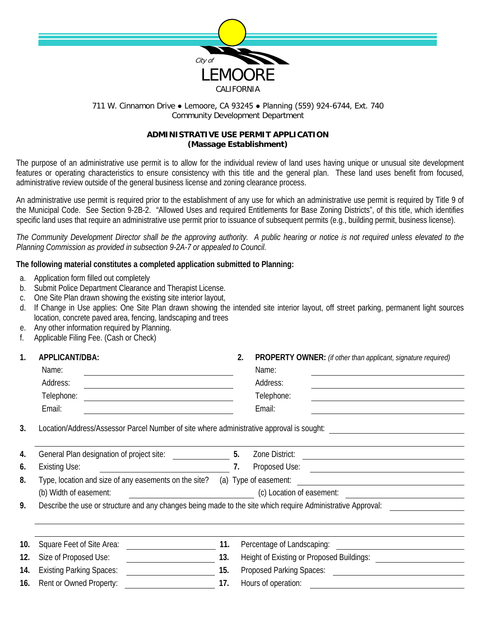

## 711 W. Cinnamon Drive ● Lemoore, CA 93245 ● Planning (559) 924-6744, Ext. 740 Community Development Department

### **ADMINISTRATIVE USE PERMIT APPLICATION (Massage Establishment)**

The purpose of an administrative use permit is to allow for the individual review of land uses having unique or unusual site development features or operating characteristics to ensure consistency with this title and the general plan. These land uses benefit from focused, administrative review outside of the general business license and zoning clearance process.

An administrative use permit is required prior to the establishment of any use for which an administrative use permit is required by Title 9 of the Municipal Code. See Section 9-2B-2. "Allowed Uses and required Entitlements for Base Zoning Districts", of this title, which identifies specific land uses that require an administrative use permit prior to issuance of subsequent permits (e.g., building permit, business license).

*The Community Development Director shall be the approving authority. A public hearing or notice is not required unless elevated to the Planning Commission as provided in subsection 9-2A-7 or appealed to Council.*

# **The following material constitutes a completed application submitted to Planning:**

- a. Application form filled out completely
- b. Submit Police Department Clearance and Therapist License.
- c. One Site Plan drawn showing the existing site interior layout,
- d. If Change in Use applies: One Site Plan drawn showing the intended site interior layout, off street parking, permanent light sources location, concrete paved area, fencing, landscaping and trees
- e. Any other information required by Planning.
- f. Applicable Filing Fee. (Cash or Check)

| 1.  | APPLICANT/DBA:<br>Name:<br>Address:                                                                                                 |     | 2.<br>PROPERTY OWNER: (if other than applicant, signature required)<br>Name:<br>Address:<br><u> 1980 - Johann Barn, amerikansk politiker (d. 1980)</u> |  |  |
|-----|-------------------------------------------------------------------------------------------------------------------------------------|-----|--------------------------------------------------------------------------------------------------------------------------------------------------------|--|--|
|     | Telephone:<br><u> 1989 - Johann Harry Harry Harry Harry Harry Harry Harry Harry Harry Harry Harry Harry Harry Harry Harry Harry</u> |     | Telephone:                                                                                                                                             |  |  |
|     | Email:                                                                                                                              |     | Email:                                                                                                                                                 |  |  |
| 3.  | Location/Address/Assessor Parcel Number of site where administrative approval is sought:                                            |     |                                                                                                                                                        |  |  |
| 4.  | General Plan designation of project site: 5.                                                                                        |     | Zone District:<br><u> Alexandria de la contentación de la contentación de la contentación de la contentación de la contentación de</u>                 |  |  |
| 6.  | <b>Existing Use:</b>                                                                                                                | 7.  | Proposed Use: <u>______________________________</u>                                                                                                    |  |  |
| 8.  | Type, location and size of any easements on the site?                                                                               |     | (a) Type of easement:<br><u> 1989 - Andrea Station Barbara, amerikan per</u>                                                                           |  |  |
|     | (b) Width of easement:<br><u> 1990 - Johann Barbara, martin d</u>                                                                   |     | (c) Location of easement:                                                                                                                              |  |  |
| 9.  | Describe the use or structure and any changes being made to the site which require Administrative Approval:                         |     |                                                                                                                                                        |  |  |
| 10. | Square Feet of Site Area:                                                                                                           | 11. | Percentage of Landscaping:<br><u> 1989 - Johann Barbara, martin a</u>                                                                                  |  |  |
| 12. | Size of Proposed Use:                                                                                                               | 13. |                                                                                                                                                        |  |  |
| 14. | <b>Existing Parking Spaces:</b>                                                                                                     | 15. | Proposed Parking Spaces:                                                                                                                               |  |  |
| 16. | Rent or Owned Property:                                                                                                             | 17. | Hours of operation:                                                                                                                                    |  |  |